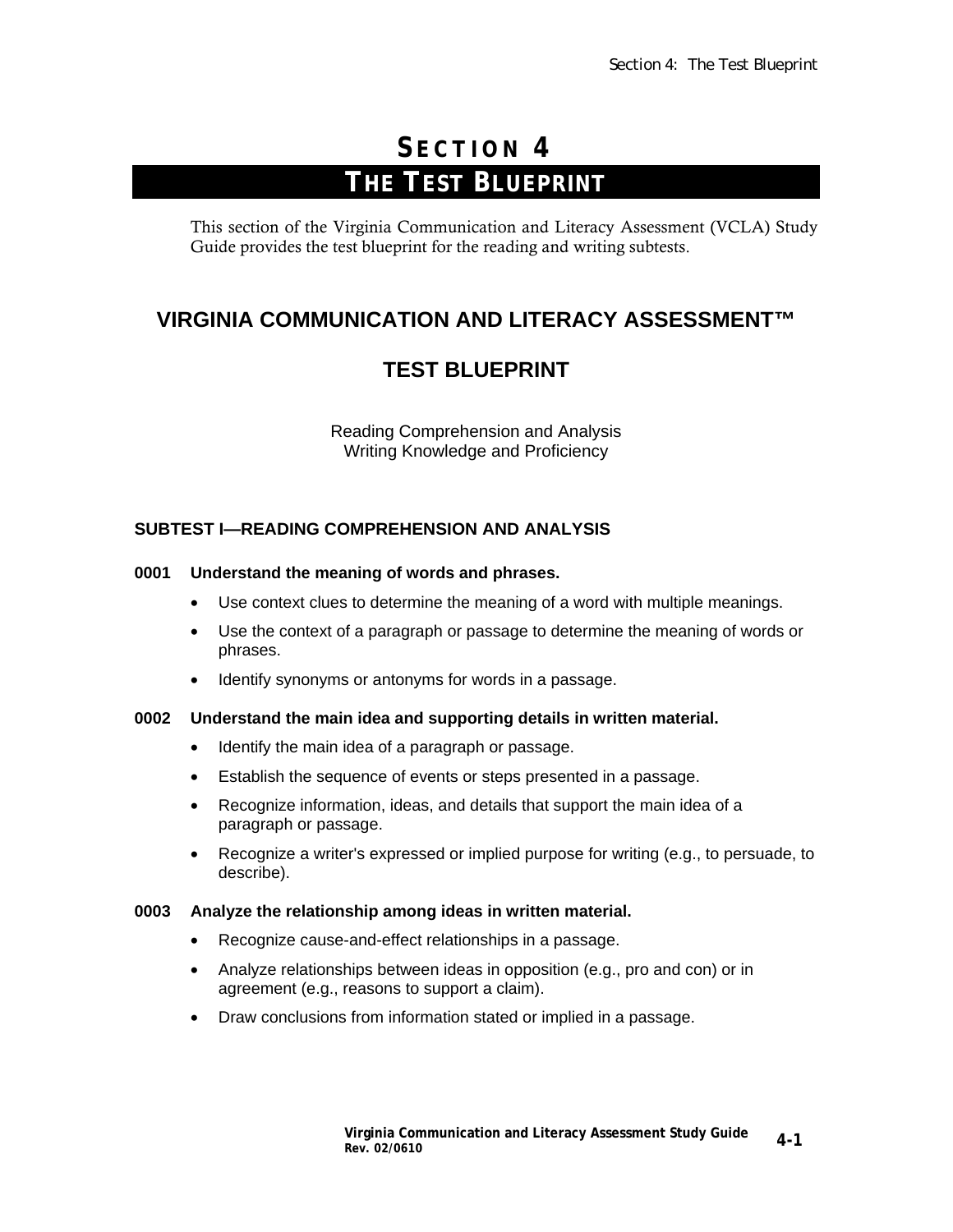# **S ECTION 4 THE TEST BLUEPRINT**

This section of the Virginia Communication and Literacy Assessment (VCLA) Study Guide provides the test blueprint for the reading and writing subtests.

## **VIRGINIA COMMUNICATION AND LITERACY ASSESSMENT™**

# **TEST BLUEPRINT**

Reading Comprehension and Analysis Writing Knowledge and Proficiency

### **SUBTEST I—READING COMPREHENSION AND ANALYSIS**

#### **0001 Understand the meaning of words and phrases.**

- Use context clues to determine the meaning of a word with multiple meanings.
- Use the context of a paragraph or passage to determine the meaning of words or phrases.
- Identify synonyms or antonyms for words in a passage.

#### **0002 Understand the main idea and supporting details in written material.**

- Identify the main idea of a paragraph or passage.
- Establish the sequence of events or steps presented in a passage.
- Recognize information, ideas, and details that support the main idea of a paragraph or passage.
- Recognize a writer's expressed or implied purpose for writing (e.g., to persuade, to describe).

#### **0003 Analyze the relationship among ideas in written material.**

- Recognize cause-and-effect relationships in a passage.
- Analyze relationships between ideas in opposition (e.g., pro and con) or in agreement (e.g., reasons to support a claim).
- Draw conclusions from information stated or implied in a passage.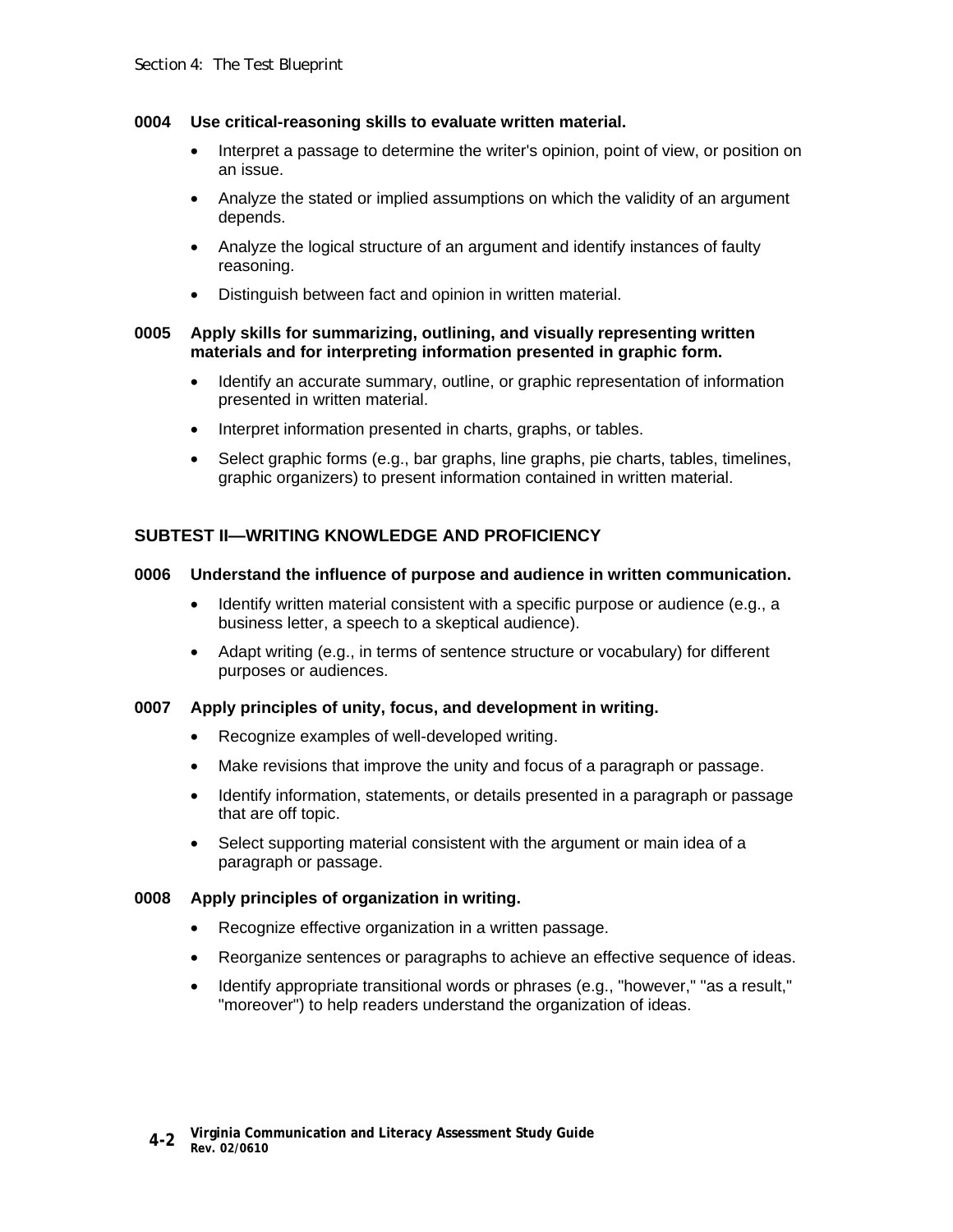#### **0004 Use critical-reasoning skills to evaluate written material.**

- Interpret a passage to determine the writer's opinion, point of view, or position on an issue.
- Analyze the stated or implied assumptions on which the validity of an argument depends.
- Analyze the logical structure of an argument and identify instances of faulty reasoning.
- Distinguish between fact and opinion in written material.

#### **0005 Apply skills for summarizing, outlining, and visually representing written materials and for interpreting information presented in graphic form.**

- Identify an accurate summary, outline, or graphic representation of information presented in written material.
- Interpret information presented in charts, graphs, or tables.
- Select graphic forms (e.g., bar graphs, line graphs, pie charts, tables, timelines, graphic organizers) to present information contained in written material.

### **SUBTEST II—WRITING KNOWLEDGE AND PROFICIENCY**

#### **0006 Understand the influence of purpose and audience in written communication.**

- Identify written material consistent with a specific purpose or audience (e.g., a business letter, a speech to a skeptical audience).
- Adapt writing (e.g., in terms of sentence structure or vocabulary) for different purposes or audiences.

#### **0007 Apply principles of unity, focus, and development in writing.**

- Recognize examples of well-developed writing.
- Make revisions that improve the unity and focus of a paragraph or passage.
- Identify information, statements, or details presented in a paragraph or passage that are off topic.
- Select supporting material consistent with the argument or main idea of a paragraph or passage.

#### **0008 Apply principles of organization in writing.**

- Recognize effective organization in a written passage.
- Reorganize sentences or paragraphs to achieve an effective sequence of ideas.
- Identify appropriate transitional words or phrases (e.g., "however," "as a result," "moreover") to help readers understand the organization of ideas.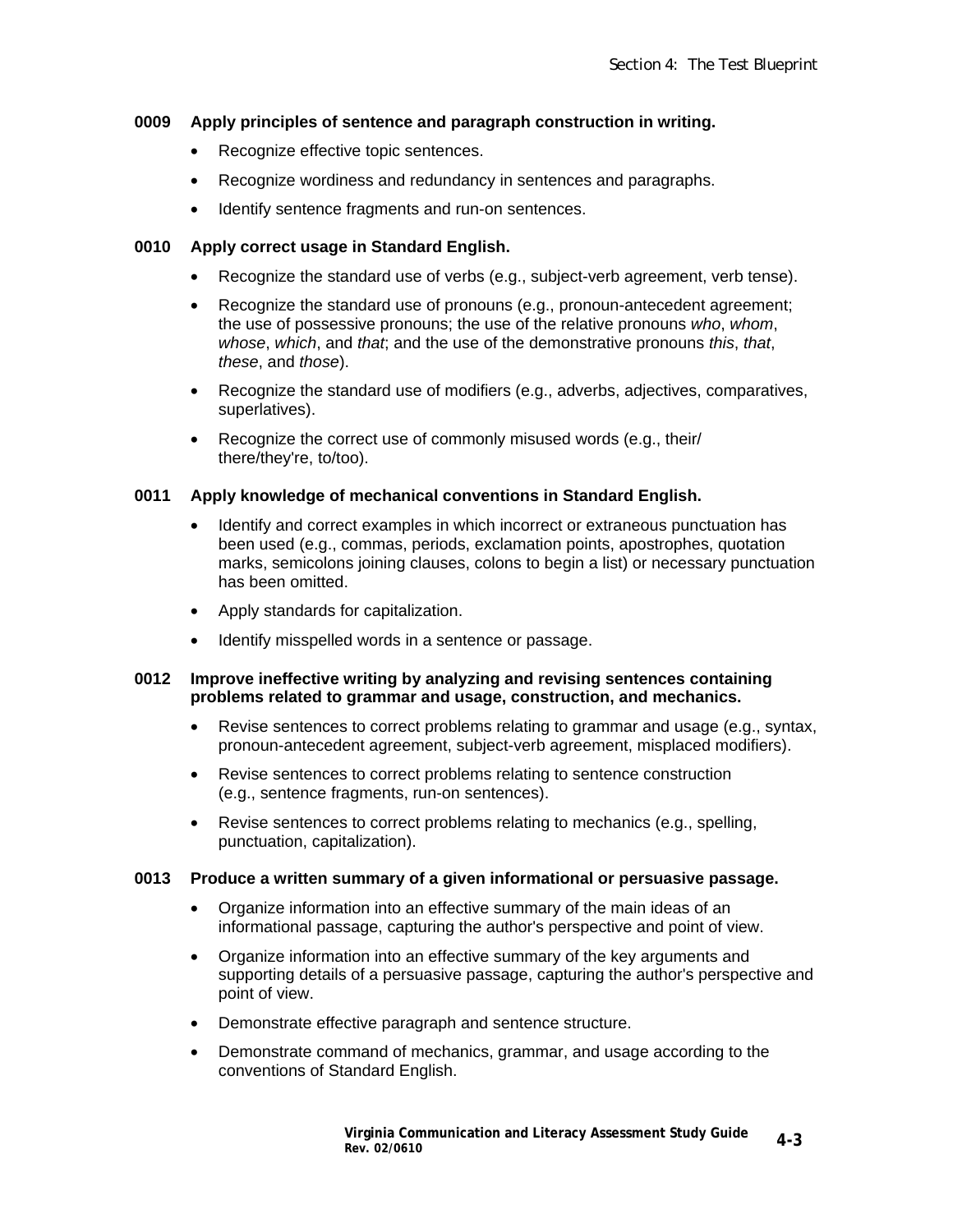#### **0009 Apply principles of sentence and paragraph construction in writing.**

- Recognize effective topic sentences.
- Recognize wordiness and redundancy in sentences and paragraphs.
- Identify sentence fragments and run-on sentences.

#### **0010 Apply correct usage in Standard English.**

- Recognize the standard use of verbs (e.g., subject-verb agreement, verb tense).
- Recognize the standard use of pronouns (e.g., pronoun-antecedent agreement; the use of possessive pronouns; the use of the relative pronouns *who*, *whom*, *whose*, *which*, and *that*; and the use of the demonstrative pronouns *this*, *that*, *these*, and *those*).
- Recognize the standard use of modifiers (e.g., adverbs, adjectives, comparatives, superlatives).
- Recognize the correct use of commonly misused words (e.g., their/ there/they're, to/too).

#### **0011 Apply knowledge of mechanical conventions in Standard English.**

- Identify and correct examples in which incorrect or extraneous punctuation has been used (e.g., commas, periods, exclamation points, apostrophes, quotation marks, semicolons joining clauses, colons to begin a list) or necessary punctuation has been omitted.
- Apply standards for capitalization.
- Identify misspelled words in a sentence or passage.

#### **0012 Improve ineffective writing by analyzing and revising sentences containing problems related to grammar and usage, construction, and mechanics.**

- Revise sentences to correct problems relating to grammar and usage (e.g., syntax, pronoun-antecedent agreement, subject-verb agreement, misplaced modifiers).
- Revise sentences to correct problems relating to sentence construction (e.g., sentence fragments, run-on sentences).
- Revise sentences to correct problems relating to mechanics (e.g., spelling, punctuation, capitalization).

#### **0013 Produce a written summary of a given informational or persuasive passage.**

- Organize information into an effective summary of the main ideas of an informational passage, capturing the author's perspective and point of view.
- Organize information into an effective summary of the key arguments and supporting details of a persuasive passage, capturing the author's perspective and point of view.
- Demonstrate effective paragraph and sentence structure.
- Demonstrate command of mechanics, grammar, and usage according to the conventions of Standard English.